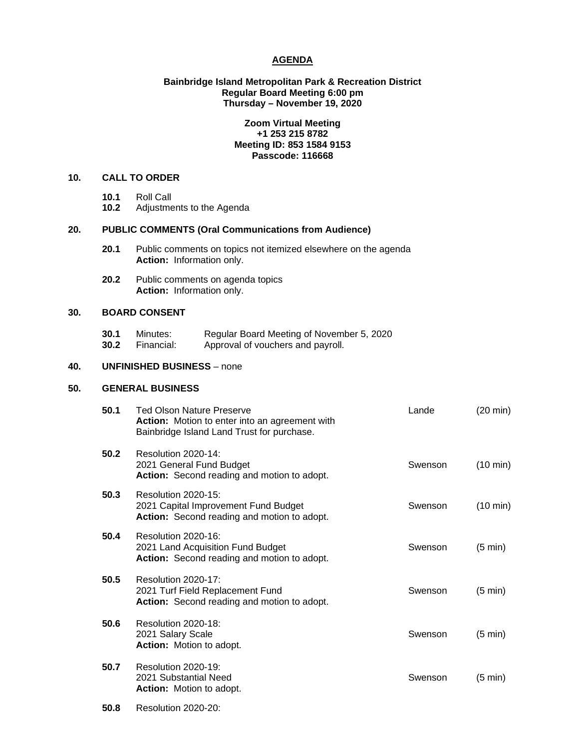## **AGENDA**

## **Bainbridge Island Metropolitan Park & Recreation District Regular Board Meeting 6:00 pm Thursday – November 19, 2020**

## **Zoom Virtual Meeting +1 253 215 8782 Meeting ID: 853 1584 9153 Passcode: 116668**

## **10. CALL TO ORDER**

- 
- **10.1** Roll Call **10.2** Adjustments to the Agenda

# **20. PUBLIC COMMENTS (Oral Communications from Audience)**

- **20.1** Public comments on topics not itemized elsewhere on the agenda **Action:** Information only.
- **20.2** Public comments on agenda topics **Action:** Information only.

## **30. BOARD CONSENT**

**30.1** Minutes: Regular Board Meeting of November 5, 2020<br>**30.2** Financial: Approval of vouchers and payroll. Approval of vouchers and payroll.

## **40. UNFINISHED BUSINESS** – none

## **50. GENERAL BUSINESS**

| 50.1 | <b>Ted Olson Nature Preserve</b><br>Action: Motion to enter into an agreement with<br>Bainbridge Island Land Trust for purchase. | Lande   | $(20 \text{ min})$ |
|------|----------------------------------------------------------------------------------------------------------------------------------|---------|--------------------|
| 50.2 | Resolution 2020-14:<br>2021 General Fund Budget<br>Action: Second reading and motion to adopt.                                   | Swenson | $(10 \text{ min})$ |
| 50.3 | Resolution 2020-15:<br>2021 Capital Improvement Fund Budget<br>Action: Second reading and motion to adopt.                       | Swenson | $(10 \text{ min})$ |
| 50.4 | Resolution 2020-16:<br>2021 Land Acquisition Fund Budget<br>Action: Second reading and motion to adopt.                          | Swenson | $(5 \text{ min})$  |
| 50.5 | Resolution 2020-17:<br>2021 Turf Field Replacement Fund<br>Action: Second reading and motion to adopt.                           | Swenson | $(5 \text{ min})$  |
| 50.6 | Resolution 2020-18:<br>2021 Salary Scale<br><b>Action:</b> Motion to adopt.                                                      | Swenson | $(5 \text{ min})$  |
| 50.7 | <b>Resolution 2020-19:</b><br>2021 Substantial Need<br><b>Action:</b> Motion to adopt.                                           | Swenson | (5 min)            |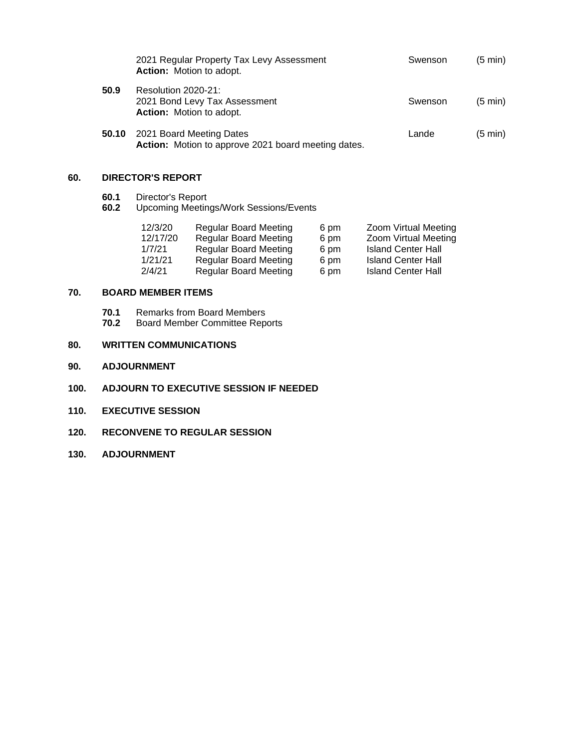|       | 2021 Regular Property Tax Levy Assessment<br><b>Action:</b> Motion to adopt.     | Swenson | $(5 \text{ min})$ |
|-------|----------------------------------------------------------------------------------|---------|-------------------|
| 50.9  | Resolution 2020-21:<br>2021 Bond Levy Tax Assessment<br>Action: Motion to adopt. | Swenson | $(5 \text{ min})$ |
| 50.10 | 2021 Board Meeting Dates<br>Action: Motion to approve 2021 board meeting dates.  | Lande   | $(5 \text{ min})$ |

# **60. DIRECTOR'S REPORT**

- 
- **60.1** Director's Report<br>**60.2** Upcoming Meeting **60.2** Upcoming Meetings/Work Sessions/Events

| 12/3/20  | <b>Regular Board Meeting</b> | 6 pm | Zoom Virtual Meeting      |
|----------|------------------------------|------|---------------------------|
| 12/17/20 | <b>Regular Board Meeting</b> | 6 pm | Zoom Virtual Meeting      |
| 1/7/21   | <b>Regular Board Meeting</b> | 6 pm | <b>Island Center Hall</b> |
| 1/21/21  | <b>Regular Board Meeting</b> | 6 pm | <b>Island Center Hall</b> |
| 2/4/21   | <b>Regular Board Meeting</b> | 6 pm | <b>Island Center Hall</b> |

## **70. BOARD MEMBER ITEMS**

**70.1** Remarks from Board Members<br>**70.2** Board Member Committee Repo **70.2** Board Member Committee Reports

# **80. WRITTEN COMMUNICATIONS**

- **90. ADJOURNMENT**
- **100. ADJOURN TO EXECUTIVE SESSION IF NEEDED**
- **110. EXECUTIVE SESSION**
- **120. RECONVENE TO REGULAR SESSION**
- **130. ADJOURNMENT**